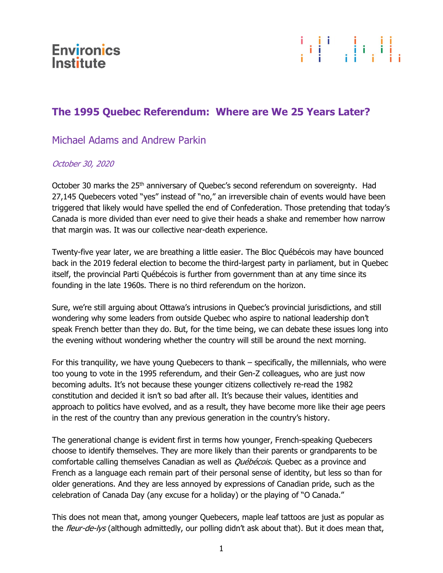



## The 1995 Quebec Referendum: Where are We 25 Years Later?

## Michael Adams and Andrew Parkin

## October 30, 2020

October 30 marks the 25<sup>th</sup> anniversary of Quebec's second referendum on sovereignty. Had 27,145 Quebecers voted "yes" instead of "no," an irreversible chain of events would have been triggered that likely would have spelled the end of Confederation. Those pretending that today's Canada is more divided than ever need to give their heads a shake and remember how narrow that margin was. It was our collective near-death experience.

Twenty-five year later, we are breathing a little easier. The Bloc Québécois may have bounced back in the 2019 federal election to become the third-largest party in parliament, but in Quebec itself, the provincial Parti Québécois is further from government than at any time since its founding in the late 1960s. There is no third referendum on the horizon.

Sure, we're still arguing about Ottawa's intrusions in Quebec's provincial jurisdictions, and still wondering why some leaders from outside Quebec who aspire to national leadership don't speak French better than they do. But, for the time being, we can debate these issues long into the evening without wondering whether the country will still be around the next morning.

For this tranquility, we have young Quebecers to thank – specifically, the millennials, who were too young to vote in the 1995 referendum, and their Gen-Z colleagues, who are just now becoming adults. It's not because these younger citizens collectively re-read the 1982 constitution and decided it isn't so bad after all. It's because their values, identities and approach to politics have evolved, and as a result, they have become more like their age peers in the rest of the country than any previous generation in the country's history.

The generational change is evident first in terms how younger, French-speaking Quebecers choose to identify themselves. They are more likely than their parents or grandparents to be comfortable calling themselves Canadian as well as *Québécois*. Quebec as a province and French as a language each remain part of their personal sense of identity, but less so than for older generations. And they are less annoyed by expressions of Canadian pride, such as the celebration of Canada Day (any excuse for a holiday) or the playing of "O Canada."

This does not mean that, among younger Quebecers, maple leaf tattoos are just as popular as the *fleur-de-lys* (although admittedly, our polling didn't ask about that). But it does mean that,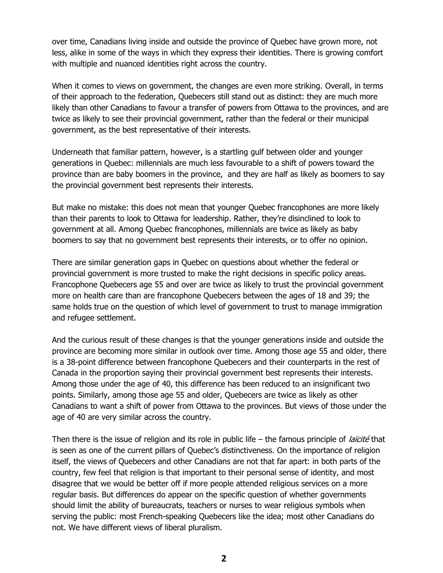over time, Canadians living inside and outside the province of Quebec have grown more, not less, alike in some of the ways in which they express their identities. There is growing comfort with multiple and nuanced identities right across the country.

When it comes to views on government, the changes are even more striking. Overall, in terms of their approach to the federation, Quebecers still stand out as distinct: they are much more likely than other Canadians to favour a transfer of powers from Ottawa to the provinces, and are twice as likely to see their provincial government, rather than the federal or their municipal government, as the best representative of their interests.

Underneath that familiar pattern, however, is a startling gulf between older and younger generations in Quebec: millennials are much less favourable to a shift of powers toward the province than are baby boomers in the province, and they are half as likely as boomers to say the provincial government best represents their interests.

But make no mistake: this does not mean that younger Quebec francophones are more likely than their parents to look to Ottawa for leadership. Rather, they're disinclined to look to government at all. Among Quebec francophones, millennials are twice as likely as baby boomers to say that no government best represents their interests, or to offer no opinion.

There are similar generation gaps in Quebec on questions about whether the federal or provincial government is more trusted to make the right decisions in specific policy areas. Francophone Quebecers age 55 and over are twice as likely to trust the provincial government more on health care than are francophone Quebecers between the ages of 18 and 39; the same holds true on the question of which level of government to trust to manage immigration and refugee settlement.

And the curious result of these changes is that the younger generations inside and outside the province are becoming more similar in outlook over time. Among those age 55 and older, there is a 38-point difference between francophone Quebecers and their counterparts in the rest of Canada in the proportion saying their provincial government best represents their interests. Among those under the age of 40, this difference has been reduced to an insignificant two points. Similarly, among those age 55 and older, Quebecers are twice as likely as other Canadians to want a shift of power from Ottawa to the provinces. But views of those under the age of 40 are very similar across the country.

Then there is the issue of religion and its role in public life – the famous principle of *laïcité* that is seen as one of the current pillars of Quebec's distinctiveness. On the importance of religion itself, the views of Quebecers and other Canadians are not that far apart: in both parts of the country, few feel that religion is that important to their personal sense of identity, and most disagree that we would be better off if more people attended religious services on a more regular basis. But differences do appear on the specific question of whether governments should limit the ability of bureaucrats, teachers or nurses to wear religious symbols when serving the public: most French-speaking Quebecers like the idea; most other Canadians do not. We have different views of liberal pluralism.